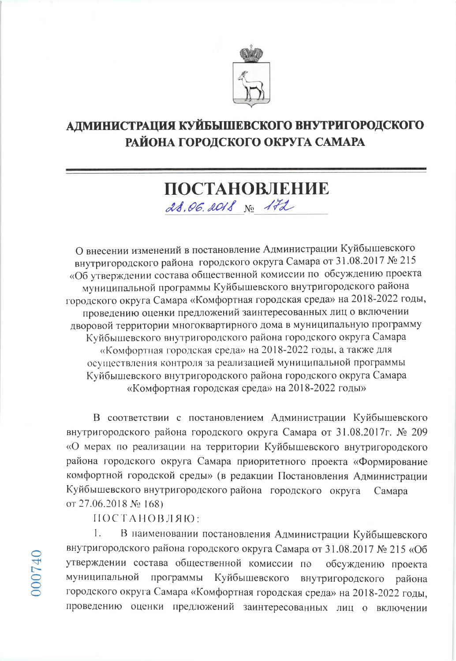

## АДМИНИСТРАЦИЯ КУЙБЫШЕВСКОГО ВНУТРИГОРОДСКОГО РАЙОНА ГОРОДСКОГО ОКРУГА САМАРА

# ПОСТАНОВЛЕНИЕ 28.06.2018 No 172

О внесении изменений в постановление Администрации Куйбышевского внутригородского района городского округа Самара от 31.08.2017 № 215 «Об утверждении состава общественной комиссии по обсуждению проекта муниципальной программы Куйбышевского внутригородского района городского округа Самара «Комфортная городская среда» на 2018-2022 годы, проведению оценки предложений заинтересованных лиц о включении дворовой территории многоквартирного дома в муниципальную программу Куйбышевского внутригородского района городского округа Самара «Комфортная городская среда» на 2018-2022 годы, а также для осуществления контроля за реализацией муниципальной программы Куйбышевского внутригородского района городского округа Самара «Комфортная городская среда» на 2018-2022 годы»

В соответствии с постановлением Администрации Куйбышевского внутригородского района городского округа Самара от 31.08.2017г. № 209 «О мерах по реализации на территории Куйбышевского внутригородского района городского округа Самара приоритетного проекта «Формирование комфортной городской среды» (в редакции Постановления Администрации Куйбышевского внутригородского района городского округа Самара от 27.06.2018  $N_2$  168)

ПОСТАНОВЛЯЮ:

В наименовании постановления Администрации Куйбышевского 1. внутригородского района городского округа Самара от 31.08.2017 № 215 «Об утверждении состава общественной комиссии по обсуждению проекта муниципальной программы Куйбышевского внутригородского района городского округа Самара «Комфортная городская среда» на 2018-2022 годы, проведению оценки предложений заинтересованных лиц о включении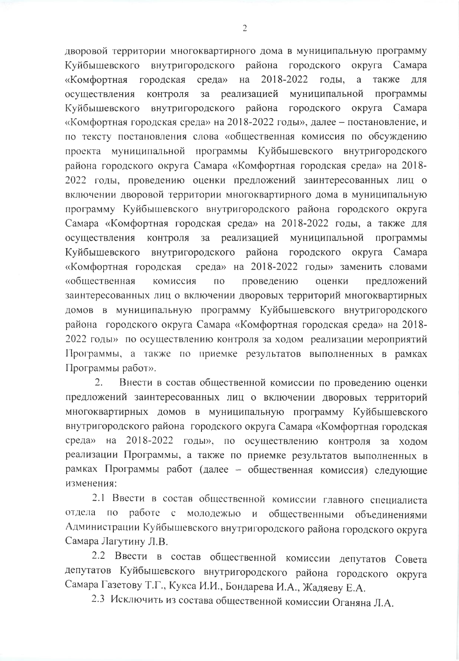дворовой территории многоквартирного дома в муниципальную программу внутригородского района городского Куйбышевского округа Самара 2018-2022 «Комфортная городская среда» на голы.  $\overline{a}$ также ДЛЯ  $3a$ реализацией муниципальной программы осуществления контроля Куйбышевского внутригородского района городского округа Самара «Комфортная городская среда» на 2018-2022 годы», далее - постановление, и по тексту постановления слова «общественная комиссия по обсуждению проекта муниципальной программы Куйбышевского внутригородского района городского округа Самара «Комфортная городская среда» на 2018-2022 годы, проведению оценки предложений заинтересованных лиц о включении дворовой территории многоквартирного дома в муниципальную программу Куйбышевского внутригородского района городского округа Самара «Комфортная городская среда» на 2018-2022 годы, а также для осуществления контроля за реализацией муниципальной программы Куйбышевского внутригородского района городского округа Самара «Комфортная городская среда» на 2018-2022 годы» заменить словами «общественная проведению предложений комиссия ПО оценки заинтересованных лиц о включении дворовых территорий многоквартирных домов в муниципальную программу Куйбышевского внутригородского района городского округа Самара «Комфортная городская среда» на 2018-2022 годы» по осуществлению контроля за ходом реализации мероприятий Программы, а также по приемке результатов выполненных в рамках Программы работ».

 $2.$ Внести в состав общественной комиссии по проведению оценки предложений заинтересованных лиц о включении дворовых территорий многоквартирных домов в муниципальную программу Куйбышевского внутригородского района городского округа Самара «Комфортная городская среда» на 2018-2022 годы», по осуществлению контроля за ходом реализации Программы, а также по приемке результатов выполненных в рамках Программы работ (далее - общественная комиссия) следующие изменения:

2.1 Ввести в состав общественной комиссии главного специалиста отдела по работе с и общественными объединениями молодежью Администрации Куйбышевского внутригородского района городского округа Самара Лагутину Л.В.

2.2 Ввести в состав общественной комиссии депутатов Совета депутатов Куйбышевского внутригородского района городского округа Самара Газетову Т.Г., Кукса И.И., Бондарева И.А., Жадяеву Е.А.

2.3 Исключить из состава общественной комиссии Оганяна Л.А.

 $\overline{2}$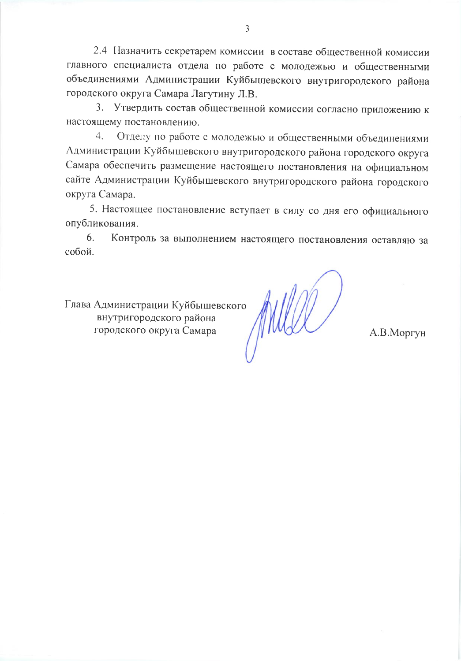2.4 Назначить секретарем комиссии в составе общественной комиссии главного специалиста отдела по работе с молодежью и общественными объединениями Администрации Куйбышевского внутригородского района городского округа Самара Лагутину Л.В.

3. Утвердить состав общественной комиссии согласно приложению к настоящему постановлению.

Отделу по работе с молодежью и общественными объединениями  $4.$ Администрации Куйбышевского внутригородского района городского округа Самара обеспечить размещение настоящего постановления на официальном сайте Администрации Куйбышевского внутригородского района городского округа Самара.

5. Настоящее постановление вступает в силу со дня его официального опубликования.

Контроль за выполнением настоящего постановления оставляю за 6. собой.

Глава Администрации Куйбышевского внутригородского района городского округа Самара

А.В.Моргун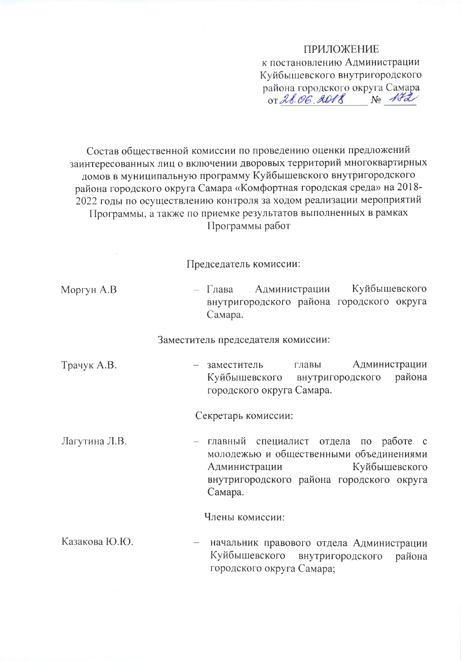#### **ПРИЛОЖЕНИЕ**

к постановлению Администрации Куйбышевского внутригородского района городского округа Самара OT 28.06.2018 No 172

Состав общественной комиссии по проведению оценки предложений заинтересованных лиц о включении дворовых территорий многоквартирных домов в муниципальную программу Куйбышевского внутригородского района городского округа Самара «Комфортная городская среда» на 2018-2022 годы по осуществлению контроля за ходом реализации мероприятий Программы, а также по приемке результатов выполненных в рамках Программы работ

Председатель комиссии:

| Моргун А.В. |         | — Глава Администрации |  | Куйбышевского                             |  |
|-------------|---------|-----------------------|--|-------------------------------------------|--|
|             |         |                       |  | внутригородского района городского округа |  |
|             | Самара. |                       |  |                                           |  |

Заместитель председателя комиссии:

Трачук А.В. - заместитель главы Администрации Куйбышевского внутригородского района городского округа Самара.

Секретарь комиссии:

Лагутина Л.В. – главный специалист отдела по работе с молодежью и общественными объединениями Администрации Куйбышевского внутригородского района городского округа Самара.

Члены комиссии:

Казакова Ю.Ю. начальник правового отдела Администрации Куйбышевского внутригородского района городского округа Самара;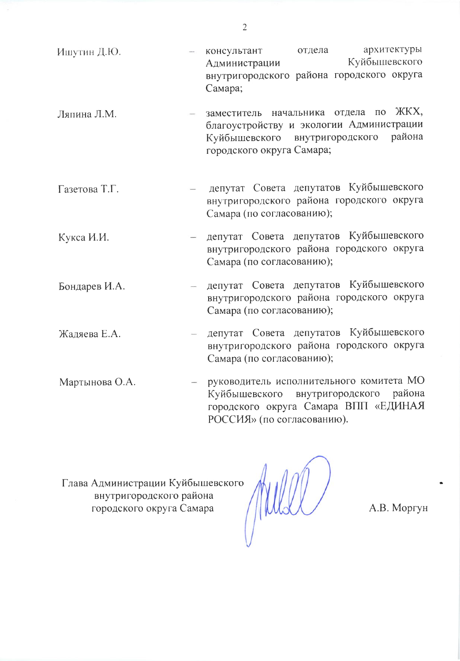- архитектуры консультант отдела Ишутин Д.Ю. Куйбышевского Администрации внутригородского района городского округа Самара;
- заместитель начальника отдела по ЖКХ, Ляпина Л.М. благоустройству и экологии Администрации Куйбышевского внутригородского района городского округа Самара;
- депутат Совета депутатов Куйбышевского Газетова Т.Г. внутригородского района городского округа Самара (по согласованию);
- депутат Совета депутатов Куйбышевского Кукса И.И. внутригородского района городского округа Самара (по согласованию);
- депутат Совета депутатов Куйбышевского Бондарев И.А. внутригородского района городского округа Самара (по согласованию);
- депутат Совета депутатов Куйбышевского Жадяева Е.А.  $\sim$ внутригородского района городского округа Самара (по согласованию);
- руководитель исполнительного комитета МО Мартынова О.А. внутригородского района Куйбышевского городского округа Самара ВПП «ЕДИНАЯ РОССИЯ» (по согласованию).

Глава Администрации Куйбышевского внутригородского района городского округа Самара

А.В. Моргун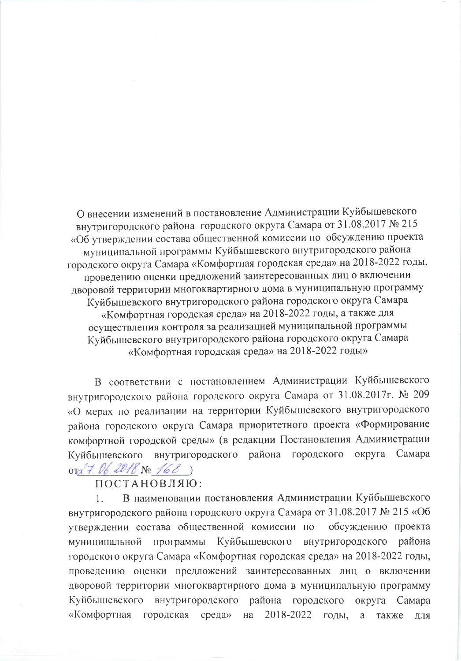О внесении изменений в постановление Администрации Куйбышевского внутригородского района городского округа Самара от 31.08.2017 № 215 «Об утверждении состава общественной комиссии по обсуждению проекта муниципальной программы Куйбышевского внутригородского района городского округа Самара «Комфортная городская среда» на 2018-2022 годы, проведению оценки предложений заинтересованных лиц о включении дворовой территории многоквартирного дома в муниципальную программу Куйбышевского внутригородского района городского округа Самара «Комфортная городская среда» на 2018-2022 годы, а также для осуществления контроля за реализацией муниципальной программы Куйбышевского внутригородского района городского округа Самара «Комфортная городская среда» на 2018-2022 годы»

В соответствии с постановлением Администрации Куйбышевского внутригородского района городского округа Самара от 31.08.2017г. № 209 «О мерах по реализации на территории Куйбышевского внутригородского района городского округа Самара приоритетного проекта «Формирование комфортной городской среды» (в редакции Постановления Администрации Куйбышевского внутригородского района городского округа Самара ord 7.06.2018 No 168)

### ПОСТАНОВЛЯЮ:

В наименовании постановления Администрации Куйбышевского  $\mathbf{1}$ . внутригородского района городского округа Самара от 31.08.2017 № 215 «Об утверждении состава общественной комиссии по обсуждению проекта программы Куйбышевского внутригородского муниципальной района городского округа Самара «Комфортная городская среда» на 2018-2022 годы, проведению оценки предложений заинтересованных лиц о включении дворовой территории многоквартирного дома в муниципальную программу Куйбышевского внутригородского района городского округа Самара «Комфортная городская среда» на 2018-2022 годы, a также ДЛЯ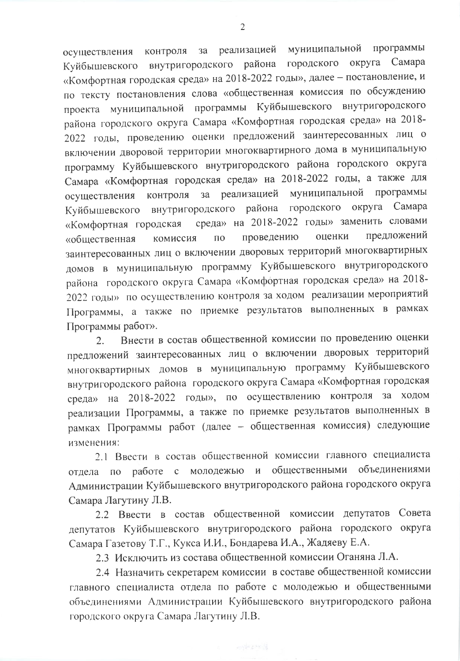реализацией муниципальной программы  $3a$ контроля осуществления внутригородского района городского округа Самара Куйбышевского «Комфортная городская среда» на 2018-2022 годы», далее - постановление, и по тексту постановления слова «общественная комиссия по обсуждению проекта муниципальной программы Куйбышевского внутригородского района городского округа Самара «Комфортная городская среда» на 2018-2022 годы, проведению оценки предложений заинтересованных лиц о включении дворовой территории многоквартирного дома в муниципальную программу Куйбышевского внутригородского района городского округа Самара «Комфортная городская среда» на 2018-2022 годы, а также для реализацией муниципальной программы контроля  $3a$ осуществления Куйбышевского внутригородского района городского округа Самара среда» на 2018-2022 годы» заменить словами «Комфортная городская предложений проведению оценки комиссия ПО «общественная заинтересованных лиц о включении дворовых территорий многоквартирных домов в муниципальную программу Куйбышевского внутригородского района городского округа Самара «Комфортная городская среда» на 2018-2022 годы» по осуществлению контроля за ходом реализации мероприятий Программы, а также по приемке результатов выполненных в рамках Программы работ».

Внести в состав общественной комиссии по проведению оценки 2. предложений заинтересованных лиц о включении дворовых территорий многоквартирных домов в муниципальную программу Куйбышевского внутригородского района городского округа Самара «Комфортная городская среда» на 2018-2022 годы», по осуществлению контроля за ходом реализации Программы, а также по приемке результатов выполненных в рамках Программы работ (далее - общественная комиссия) следующие изменения:

2.1 Ввести в состав общественной комиссии главного специалиста отдела по работе с молодежью и общественными объединениями Администрации Куйбышевского внутригородского района городского округа Самара Лагутину Л.В.

2.2 Ввести в состав общественной комиссии депутатов Совета депутатов Куйбышевского внутригородского района городского округа Самара Газетову Т.Г., Кукса И.И., Бондарева И.А., Жадяеву Е.А.

2.3 Исключить из состава общественной комиссии Оганяна Л.А.

2.4 Назначить секретарем комиссии в составе общественной комиссии главного специалиста отдела по работе с молодежью и общественными объединениями Администрации Куйбышевского внутригородского района городского округа Самара Лагутину Л.В.

 $\overline{2}$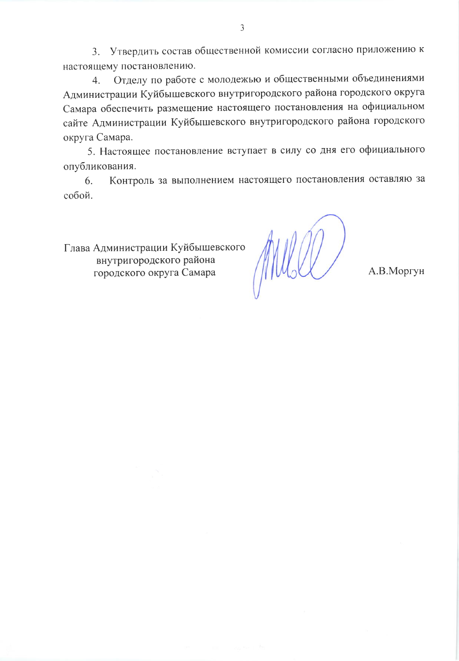3. Утвердить состав общественной комиссии согласно приложению к настоящему постановлению.

Отделу по работе с молодежью и общественными объединениями  $4<sup>1</sup>$ Администрации Куйбышевского внутригородского района городского округа Самара обеспечить размещение настоящего постановления на официальном сайте Администрации Куйбышевского внутригородского района городского округа Самара.

5. Настоящее постановление вступает в силу со дня его официального опубликования.

Контроль за выполнением настоящего постановления оставляю за 6. собой.

Глава Администрации Куйбышевского внутригородского района городского округа Самара

А.В.Моргун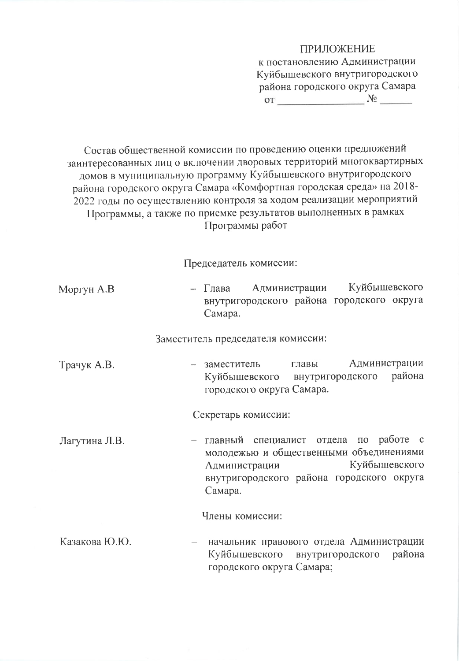#### **ПРИЛОЖЕНИЕ**

к постановлению Администрации Куйбышевского внутригородского района городского округа Самара  $\mathcal{N}_{\mathcal{Q}}$   $\mathcal{N}_{\mathcal{Q}}$   $\mathcal{N}_{\mathcal{Q}}$ 

Состав общественной комиссии по проведению оценки предложений заинтересованных лиц о включении дворовых территорий многоквартирных домов в муниципальную программу Куйбышевского внутригородского района городского округа Самара «Комфортная городская среда» на 2018-2022 годы по осуществлению контроля за ходом реализации мероприятий Программы, а также по приемке результатов выполненных в рамках Программы работ

Председатель комиссии:

| Моргун А.В | $-$ Глава | Администрации |  | Куйбышевского                             |  |
|------------|-----------|---------------|--|-------------------------------------------|--|
|            |           |               |  | внутригородского района городского округа |  |
|            | Самара.   |               |  |                                           |  |

Заместитель председателя комиссии:

Администрации - заместитель главы Трачук А.В. района Куйбышевского внутригородского городского округа Самара.

Секретарь комиссии:

– главный специалист отдела по работе с Лагутина Л.В. молодежью и общественными объединениями Куйбышевского Администрации внутригородского района городского округа Самара.

Члены комиссии:

Казакова Ю.Ю. начальник правового отдела Администрации Куйбышевского внутригородского района городского округа Самара;